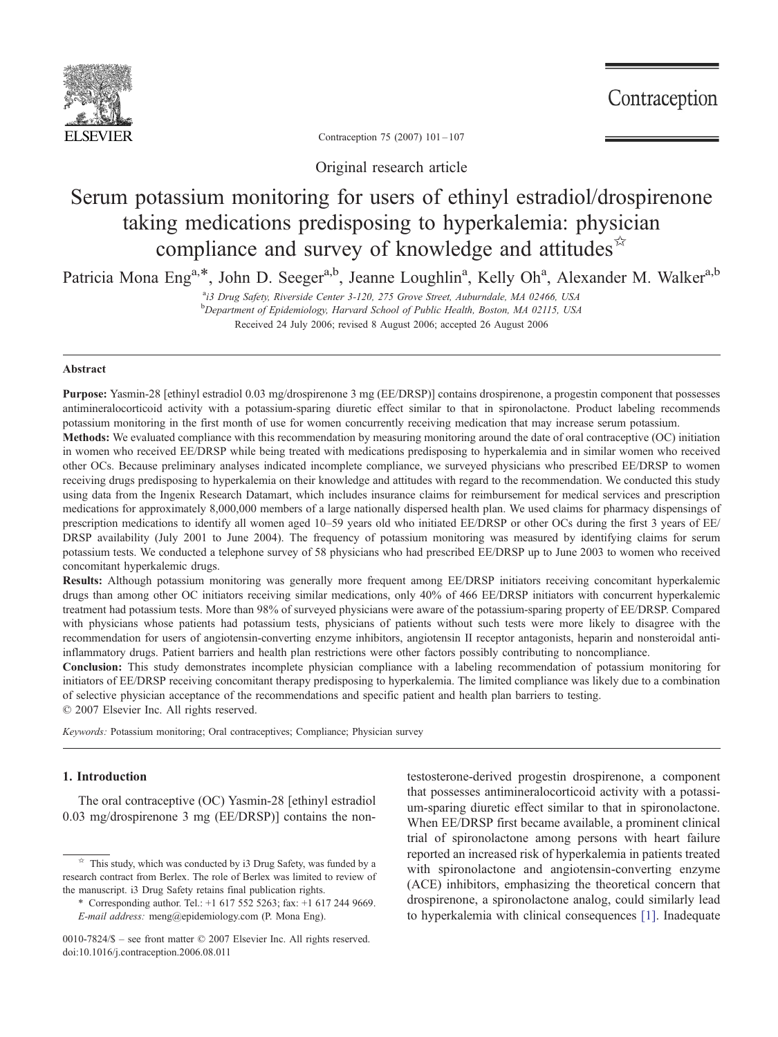

Contraception

Contraception 75 (2007) 101 – 107

Original research article

# Serum potassium monitoring for users of ethinyl estradiol/drospirenone taking medications predisposing to hyperkalemia: physician compliance and survey of knowledge and attitudes $\vec{r}$

Patricia Mona Eng<sup>a,\*</sup>, John D. Seeger<sup>a,b</sup>, Jeanne Loughlin<sup>a</sup>, Kelly Oh<sup>a</sup>, Alexander M. Walker<sup>a,b</sup>

a<sup>a</sup>i3 Drug Safety, Riverside Center 3-120, 275 Grove Street, Auburndale, MA 02466, USA **b** Department of Epidemiology, Harvard School of Public Health, Boston, MA 02115, USA Received 24 July 2006; revised 8 August 2006; accepted 26 August 2006

#### Abstract

Purpose: Yasmin-28 [ethinyl estradiol 0.03 mg/drospirenone 3 mg (EE/DRSP)] contains drospirenone, a progestin component that possesses antimineralocorticoid activity with a potassium-sparing diuretic effect similar to that in spironolactone. Product labeling recommends potassium monitoring in the first month of use for women concurrently receiving medication that may increase serum potassium. Methods: We evaluated compliance with this recommendation by measuring monitoring around the date of oral contraceptive (OC) initiation

in women who received EE/DRSP while being treated with medications predisposing to hyperkalemia and in similar women who received other OCs. Because preliminary analyses indicated incomplete compliance, we surveyed physicians who prescribed EE/DRSP to women receiving drugs predisposing to hyperkalemia on their knowledge and attitudes with regard to the recommendation. We conducted this study using data from the Ingenix Research Datamart, which includes insurance claims for reimbursement for medical services and prescription medications for approximately 8,000,000 members of a large nationally dispersed health plan. We used claims for pharmacy dispensings of prescription medications to identify all women aged 10–59 years old who initiated EE/DRSP or other OCs during the first 3 years of EE/ DRSP availability (July 2001 to June 2004). The frequency of potassium monitoring was measured by identifying claims for serum potassium tests. We conducted a telephone survey of 58 physicians who had prescribed EE/DRSP up to June 2003 to women who received concomitant hyperkalemic drugs.

Results: Although potassium monitoring was generally more frequent among EE/DRSP initiators receiving concomitant hyperkalemic drugs than among other OC initiators receiving similar medications, only 40% of 466 EE/DRSP initiators with concurrent hyperkalemic treatment had potassium tests. More than 98% of surveyed physicians were aware of the potassium-sparing property of EE/DRSP. Compared with physicians whose patients had potassium tests, physicians of patients without such tests were more likely to disagree with the recommendation for users of angiotensin-converting enzyme inhibitors, angiotensin II receptor antagonists, heparin and nonsteroidal antiinflammatory drugs. Patient barriers and health plan restrictions were other factors possibly contributing to noncompliance.

Conclusion: This study demonstrates incomplete physician compliance with a labeling recommendation of potassium monitoring for initiators of EE/DRSP receiving concomitant therapy predisposing to hyperkalemia. The limited compliance was likely due to a combination of selective physician acceptance of the recommendations and specific patient and health plan barriers to testing.

 $© 2007 Elsevier Inc. All rights reserved.$ 

Keywords: Potassium monitoring; Oral contraceptives; Compliance; Physician survey

# 1. Introduction

The oral contraceptive (OC) Yasmin-28 [ethinyl estradiol 0.03 mg/drospirenone 3 mg (EE/DRSP)] contains the nontestosterone-derived progestin drospirenone, a component that possesses antimineralocorticoid activity with a potassium-sparing diuretic effect similar to that in spironolactone. When EE/DRSP first became available, a prominent clinical trial of spironolactone among persons with heart failure reported an increased risk of hyperkalemia in patients treated with spironolactone and angiotensin-converting enzyme (ACE) inhibitors, emphasizing the theoretical concern that drospirenone, a spironolactone analog, could similarly lead to hyperkalemia with clinical consequences [\[1\].](#page-6-0) Inadequate

 $\overrightarrow{B}$  This study, which was conducted by i3 Drug Safety, was funded by a research contract from Berlex. The role of Berlex was limited to review of the manuscript. i3 Drug Safety retains final publication rights.

<sup>\*</sup> Corresponding author. Tel.:  $+1$  617 552 5263; fax:  $+1$  617 244 9669. E-mail address: meng@epidemiology.com (P. Mona Eng).

<sup>0010-7824/\$ –</sup> see front matter  $\odot$  2007 Elsevier Inc. All rights reserved. doi:10.1016/j.contraception.2006.08.011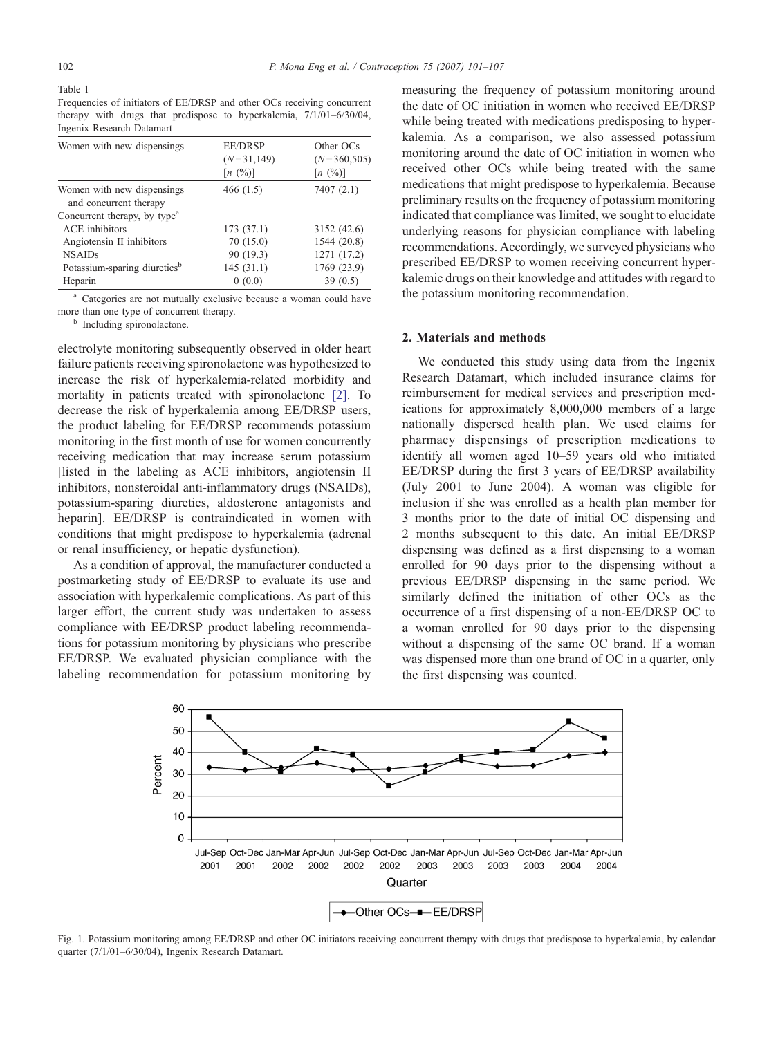<span id="page-1-0"></span>Table 1

Frequencies of initiators of EE/DRSP and other OCs receiving concurrent therapy with drugs that predispose to hyperkalemia, 7/1/01–6/30/04, Ingenix Research Datamart

| Women with new dispensings                           | EE/DRSP<br>$(N=31, 149)$<br>$\left\lceil n \right\rceil$ $\left\lfloor \frac{6}{2} \right\rceil$ | Other OCs<br>$(N=360,505)$<br>$\left\lceil n \right\rceil$ $\left\lfloor \frac{0}{0} \right\rceil$ |
|------------------------------------------------------|--------------------------------------------------------------------------------------------------|----------------------------------------------------------------------------------------------------|
| Women with new dispensings<br>and concurrent therapy | 466(1.5)                                                                                         | 7407 (2.1)                                                                                         |
| Concurrent therapy, by type <sup>a</sup>             |                                                                                                  |                                                                                                    |
| <b>ACE</b> inhibitors                                | 173 (37.1)                                                                                       | 3152 (42.6)                                                                                        |
| Angiotensin II inhibitors                            | 70(15.0)                                                                                         | 1544 (20.8)                                                                                        |
| <b>NSAIDs</b>                                        | 90 (19.3)                                                                                        | 1271 (17.2)                                                                                        |
| Potassium-sparing diuretics <sup>b</sup>             | 145 (31.1)                                                                                       | 1769 (23.9)                                                                                        |
| Heparin                                              | 0(0.0)                                                                                           | 39(0.5)                                                                                            |

Categories are not mutually exclusive because a woman could have more than one type of concurrent therapy.<br>
<sup>b</sup> Including spironolactone.

electrolyte monitoring subsequently observed in older heart failure patients receiving spironolactone was hypothesized to increase the risk of hyperkalemia-related morbidity and mortality in patients treated with spironolactone [\[2\].](#page-6-0) To decrease the risk of hyperkalemia among EE/DRSP users, the product labeling for EE/DRSP recommends potassium monitoring in the first month of use for women concurrently receiving medication that may increase serum potassium [listed in the labeling as ACE inhibitors, angiotensin II inhibitors, nonsteroidal anti-inflammatory drugs (NSAIDs), potassium-sparing diuretics, aldosterone antagonists and heparin]. EE/DRSP is contraindicated in women with conditions that might predispose to hyperkalemia (adrenal or renal insufficiency, or hepatic dysfunction).

As a condition of approval, the manufacturer conducted a postmarketing study of EE/DRSP to evaluate its use and association with hyperkalemic complications. As part of this larger effort, the current study was undertaken to assess compliance with EE/DRSP product labeling recommendations for potassium monitoring by physicians who prescribe EE/DRSP. We evaluated physician compliance with the labeling recommendation for potassium monitoring by

measuring the frequency of potassium monitoring around the date of OC initiation in women who received EE/DRSP while being treated with medications predisposing to hyperkalemia. As a comparison, we also assessed potassium monitoring around the date of OC initiation in women who received other OCs while being treated with the same medications that might predispose to hyperkalemia. Because preliminary results on the frequency of potassium monitoring indicated that compliance was limited, we sought to elucidate underlying reasons for physician compliance with labeling recommendations. Accordingly, we surveyed physicians who prescribed EE/DRSP to women receiving concurrent hyperkalemic drugs on their knowledge and attitudes with regard to the potassium monitoring recommendation.

#### 2. Materials and methods

We conducted this study using data from the Ingenix Research Datamart, which included insurance claims for reimbursement for medical services and prescription medications for approximately 8,000,000 members of a large nationally dispersed health plan. We used claims for pharmacy dispensings of prescription medications to identify all women aged 10–59 years old who initiated EE/DRSP during the first 3 years of EE/DRSP availability (July 2001 to June 2004). A woman was eligible for inclusion if she was enrolled as a health plan member for 3 months prior to the date of initial OC dispensing and 2 months subsequent to this date. An initial EE/DRSP dispensing was defined as a first dispensing to a woman enrolled for 90 days prior to the dispensing without a previous EE/DRSP dispensing in the same period. We similarly defined the initiation of other OCs as the occurrence of a first dispensing of a non-EE/DRSP OC to a woman enrolled for 90 days prior to the dispensing without a dispensing of the same OC brand. If a woman was dispensed more than one brand of OC in a quarter, only the first dispensing was counted.



Fig. 1. Potassium monitoring among EE/DRSP and other OC initiators receiving concurrent therapy with drugs that predispose to hyperkalemia, by calendar quarter (7/1/01–6/30/04), Ingenix Research Datamart.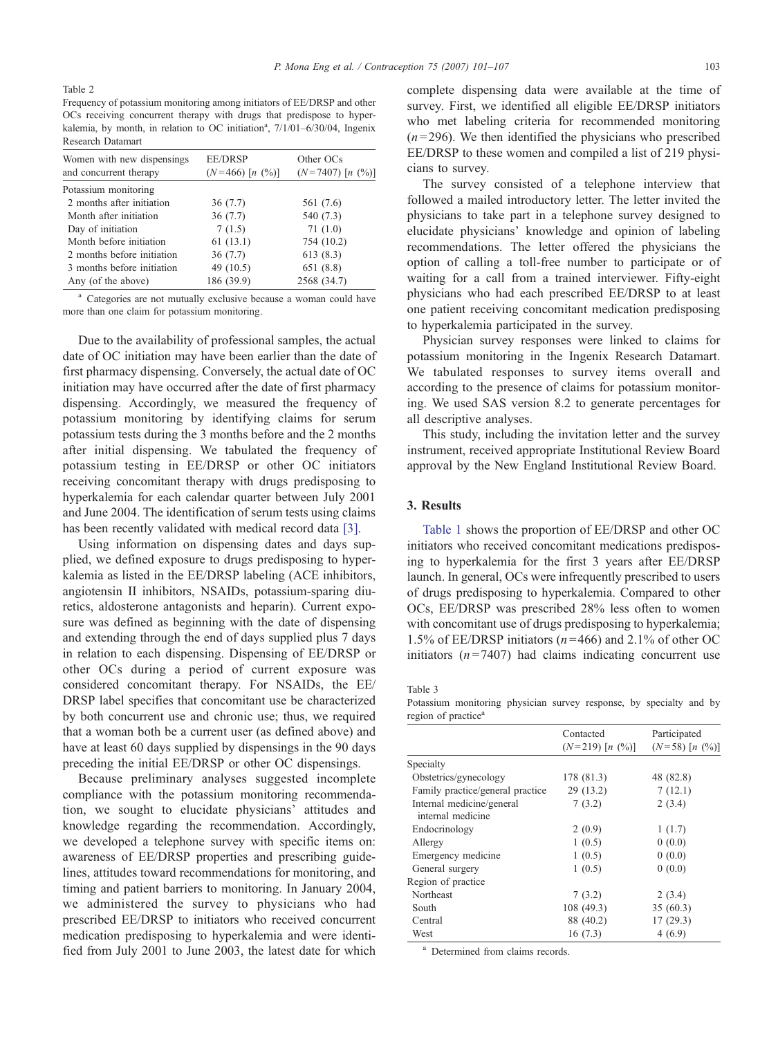<span id="page-2-0"></span>Table 2

Frequency of potassium monitoring among initiators of EE/DRSP and other OCs receiving concurrent therapy with drugs that predispose to hyperkalemia, by month, in relation to OC initiation<sup>a</sup>,  $7/1/01 - 6/30/04$ , Ingenix Research Datamart

| Women with new dispensings<br>and concurrent therapy | <b>EE/DRSP</b><br>$(N=466)$ [n $(\%)$ ] | Other OCs<br>$(N=7407)$ [n $(\%)$ ] |  |  |  |
|------------------------------------------------------|-----------------------------------------|-------------------------------------|--|--|--|
| Potassium monitoring                                 |                                         |                                     |  |  |  |
| 2 months after initiation                            | 36(7.7)                                 | 561 (7.6)                           |  |  |  |
| Month after initiation                               | 36(7.7)                                 | 540 (7.3)                           |  |  |  |
| Day of initiation                                    | 7(1.5)                                  | 71(1.0)                             |  |  |  |
| Month before initiation                              | 61(13.1)                                | 754 (10.2)                          |  |  |  |
| 2 months before initiation                           | 36(7.7)                                 | 613 (8.3)                           |  |  |  |
| 3 months before initiation                           | 49 $(10.5)$                             | 651 (8.8)                           |  |  |  |
| Any (of the above)                                   | 186 (39.9)                              | 2568 (34.7)                         |  |  |  |

<sup>a</sup> Categories are not mutually exclusive because a woman could have more than one claim for potassium monitoring.

Due to the availability of professional samples, the actual date of OC initiation may have been earlier than the date of first pharmacy dispensing. Conversely, the actual date of OC initiation may have occurred after the date of first pharmacy dispensing. Accordingly, we measured the frequency of potassium monitoring by identifying claims for serum potassium tests during the 3 months before and the 2 months after initial dispensing. We tabulated the frequency of potassium testing in EE/DRSP or other OC initiators receiving concomitant therapy with drugs predisposing to hyperkalemia for each calendar quarter between July 2001 and June 2004. The identification of serum tests using claims has been recently validated with medical record data [\[3\].](#page-6-0)

Using information on dispensing dates and days supplied, we defined exposure to drugs predisposing to hyperkalemia as listed in the EE/DRSP labeling (ACE inhibitors, angiotensin II inhibitors, NSAIDs, potassium-sparing diuretics, aldosterone antagonists and heparin). Current exposure was defined as beginning with the date of dispensing and extending through the end of days supplied plus 7 days in relation to each dispensing. Dispensing of EE/DRSP or other OCs during a period of current exposure was considered concomitant therapy. For NSAIDs, the EE/ DRSP label specifies that concomitant use be characterized by both concurrent use and chronic use; thus, we required that a woman both be a current user (as defined above) and have at least 60 days supplied by dispensings in the 90 days preceding the initial EE/DRSP or other OC dispensings.

Because preliminary analyses suggested incomplete compliance with the potassium monitoring recommendation, we sought to elucidate physicians' attitudes and knowledge regarding the recommendation. Accordingly, we developed a telephone survey with specific items on: awareness of EE/DRSP properties and prescribing guidelines, attitudes toward recommendations for monitoring, and timing and patient barriers to monitoring. In January 2004, we administered the survey to physicians who had prescribed EE/DRSP to initiators who received concurrent medication predisposing to hyperkalemia and were identified from July 2001 to June 2003, the latest date for which

complete dispensing data were available at the time of survey. First, we identified all eligible EE/DRSP initiators who met labeling criteria for recommended monitoring  $(n=296)$ . We then identified the physicians who prescribed EE/DRSP to these women and compiled a list of 219 physicians to survey.

The survey consisted of a telephone interview that followed a mailed introductory letter. The letter invited the physicians to take part in a telephone survey designed to elucidate physicians' knowledge and opinion of labeling recommendations. The letter offered the physicians the option of calling a toll-free number to participate or of waiting for a call from a trained interviewer. Fifty-eight physicians who had each prescribed EE/DRSP to at least one patient receiving concomitant medication predisposing to hyperkalemia participated in the survey.

Physician survey responses were linked to claims for potassium monitoring in the Ingenix Research Datamart. We tabulated responses to survey items overall and according to the presence of claims for potassium monitoring. We used SAS version 8.2 to generate percentages for all descriptive analyses.

This study, including the invitation letter and the survey instrument, received appropriate Institutional Review Board approval by the New England Institutional Review Board.

### 3. Results

[Table](#page-1-0) [1](#page-1-0) shows the proportion of EE/DRSP and other OC initiators who received concomitant medications predisposing to hyperkalemia for the first 3 years after EE/DRSP launch. In general, OCs were infrequently prescribed to users of drugs predisposing to hyperkalemia. Compared to other OCs, EE/DRSP was prescribed 28% less often to women with concomitant use of drugs predisposing to hyperkalemia; 1.5% of EE/DRSP initiators ( $n = 466$ ) and 2.1% of other OC initiators ( $n = 7407$ ) had claims indicating concurrent use

Table 3

Potassium monitoring physician survey response, by specialty and by region of practice<sup>a</sup>

|                                                | Contacted<br>$(N=219)$ [n $(\%)$ ] | Participated<br>$(N=58)$ [n $(\%)$ ] |
|------------------------------------------------|------------------------------------|--------------------------------------|
| Specialty                                      |                                    |                                      |
| Obstetrics/gynecology                          | 178 (81.3)                         | 48 (82.8)                            |
| Family practice/general practice               | 29(13.2)                           | 7(12.1)                              |
| Internal medicine/general<br>internal medicine | 7(3.2)                             | 2(3.4)                               |
| Endocrinology                                  | 2(0.9)                             | 1(1.7)                               |
| Allergy                                        | 1(0.5)                             | 0(0.0)                               |
| Emergency medicine                             | 1(0.5)                             | 0(0.0)                               |
| General surgery                                | 1(0.5)                             | 0(0.0)                               |
| Region of practice                             |                                    |                                      |
| Northeast                                      | 7(3.2)                             | 2(3.4)                               |
| South                                          | 108 (49.3)                         | 35(60.3)                             |
| Central                                        | 88 (40.2)                          | 17(29.3)                             |
| West                                           | 16(7.3)                            | 4(6.9)                               |

<sup>a</sup> Determined from claims records.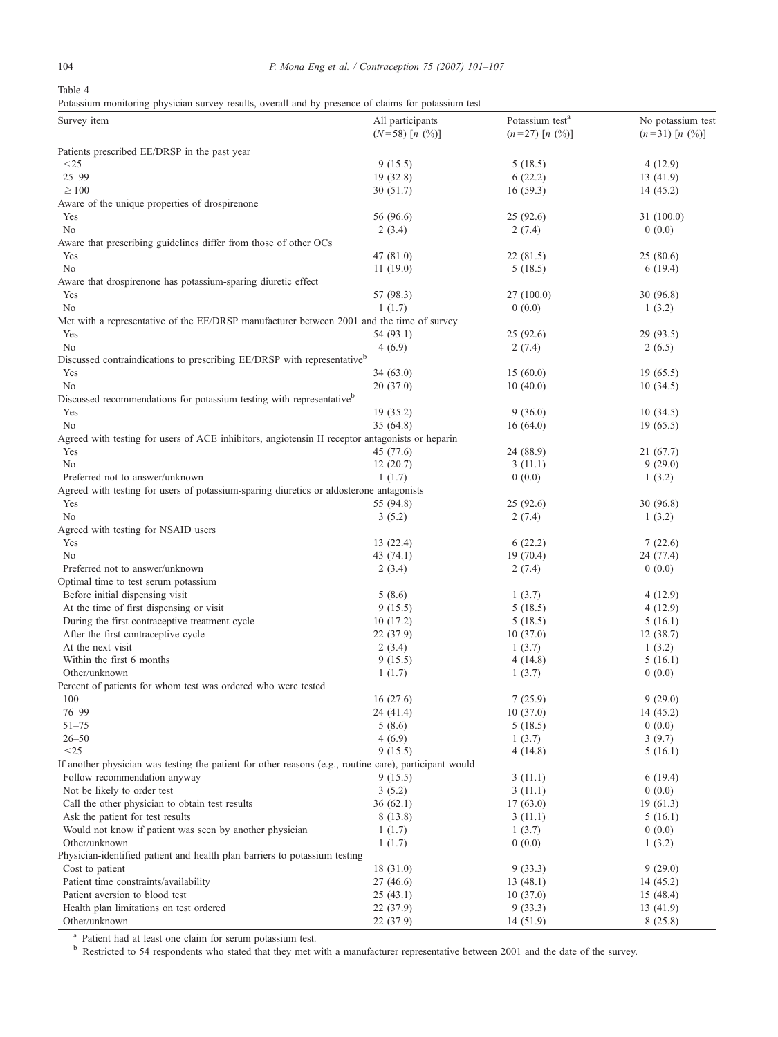<span id="page-3-0"></span>Table 4

| Potassium monitoring physician survey results, overall and by presence of claims for potassium test |  |  |  |  |  |  |
|-----------------------------------------------------------------------------------------------------|--|--|--|--|--|--|
|                                                                                                     |  |  |  |  |  |  |

| Survey item                                                                                            | All participants<br>$(N=58)$ [n $(\%)$ ] | Potassium test <sup>a</sup><br>$(n=27)$ [n $(\%)$ ] | No potassium test<br>$(n=31)$ [n $(\frac{9}{0})$ ] |
|--------------------------------------------------------------------------------------------------------|------------------------------------------|-----------------------------------------------------|----------------------------------------------------|
| Patients prescribed EE/DRSP in the past year                                                           |                                          |                                                     |                                                    |
| $<$ 25                                                                                                 | 9(15.5)                                  | 5(18.5)                                             | 4(12.9)                                            |
| $25 - 99$                                                                                              | 19(32.8)                                 | 6(22.2)                                             | 13 (41.9)                                          |
| $\geq 100$                                                                                             | 30(51.7)                                 | 16(59.3)                                            | 14 (45.2)                                          |
| Aware of the unique properties of drospirenone                                                         |                                          |                                                     |                                                    |
| Yes                                                                                                    | 56 (96.6)                                | 25 (92.6)                                           | 31(100.0)                                          |
| No                                                                                                     | 2(3.4)                                   | 2(7.4)                                              | 0(0.0)                                             |
| Aware that prescribing guidelines differ from those of other OCs                                       |                                          |                                                     |                                                    |
| Yes<br>No                                                                                              | 47 $(81.0)$<br>11(19.0)                  | 22(81.5)<br>5(18.5)                                 | 25(80.6)                                           |
| Aware that drospirenone has potassium-sparing diuretic effect                                          |                                          |                                                     | 6(19.4)                                            |
| Yes                                                                                                    | 57 (98.3)                                | 27(100.0)                                           | 30 (96.8)                                          |
| No                                                                                                     | 1(1.7)                                   | 0(0.0)                                              | 1(3.2)                                             |
| Met with a representative of the EE/DRSP manufacturer between 2001 and the time of survey              |                                          |                                                     |                                                    |
| Yes                                                                                                    | 54 (93.1)                                | 25(92.6)                                            | 29 (93.5)                                          |
| No                                                                                                     | 4(6.9)                                   | 2(7.4)                                              | 2(6.5)                                             |
| Discussed contraindications to prescribing EE/DRSP with representative <sup>b</sup>                    |                                          |                                                     |                                                    |
| Yes                                                                                                    | 34(63.0)                                 | 15(60.0)                                            | 19(65.5)                                           |
| No                                                                                                     | 20(37.0)                                 | 10(40.0)                                            | 10(34.5)                                           |
| Discussed recommendations for potassium testing with representative <sup>b</sup>                       |                                          |                                                     |                                                    |
| Yes                                                                                                    | 19(35.2)                                 | 9(36.0)                                             | 10(34.5)                                           |
| No                                                                                                     | 35(64.8)                                 | 16(64.0)                                            | 19(65.5)                                           |
| Agreed with testing for users of ACE inhibitors, angiotensin II receptor antagonists or heparin        |                                          |                                                     |                                                    |
| Yes                                                                                                    | 45 (77.6)                                | 24 (88.9)                                           | 21 (67.7)                                          |
| N <sub>0</sub>                                                                                         | 12(20.7)                                 | 3(11.1)                                             | 9(29.0)                                            |
| Preferred not to answer/unknown                                                                        | 1(1.7)                                   | 0(0.0)                                              | 1(3.2)                                             |
| Agreed with testing for users of potassium-sparing diuretics or aldosterone antagonists                |                                          |                                                     |                                                    |
| Yes                                                                                                    | 55 (94.8)                                | 25 (92.6)                                           | 30 (96.8)                                          |
| No                                                                                                     | 3(5.2)                                   | 2(7.4)                                              | 1(3.2)                                             |
| Agreed with testing for NSAID users                                                                    |                                          |                                                     |                                                    |
| Yes                                                                                                    | 13(22.4)                                 | 6(22.2)                                             | 7(22.6)                                            |
| No                                                                                                     | 43 $(74.1)$                              | 19(70.4)                                            | 24 (77.4)                                          |
| Preferred not to answer/unknown                                                                        | 2(3.4)                                   | 2(7.4)                                              | 0(0.0)                                             |
| Optimal time to test serum potassium                                                                   |                                          |                                                     |                                                    |
| Before initial dispensing visit<br>At the time of first dispensing or visit                            | 5(8.6)                                   | 1(3.7)                                              | 4 (12.9)                                           |
| During the first contraceptive treatment cycle                                                         | 9(15.5)<br>10(17.2)                      | 5(18.5)<br>5(18.5)                                  | 4(12.9)<br>5(16.1)                                 |
| After the first contraceptive cycle                                                                    | 22 (37.9)                                | 10(37.0)                                            | 12(38.7)                                           |
| At the next visit                                                                                      | 2(3.4)                                   | 1(3.7)                                              | 1(3.2)                                             |
| Within the first 6 months                                                                              | 9(15.5)                                  | 4(14.8)                                             | 5(16.1)                                            |
| Other/unknown                                                                                          | 1(1.7)                                   | 1(3.7)                                              | 0(0.0)                                             |
| Percent of patients for whom test was ordered who were tested                                          |                                          |                                                     |                                                    |
| 100                                                                                                    | 16(27.6)                                 | 7(25.9)                                             | 9(29.0)                                            |
| 76–99                                                                                                  | 24 (41.4)                                | 10(37.0)                                            | 14 (45.2)                                          |
| $51 - 75$                                                                                              | 5(8.6)                                   | 5(18.5)                                             | 0(0.0)                                             |
| $26 - 50$                                                                                              | 4(6.9)                                   | 1(3.7)                                              | 3(9.7)                                             |
| $\leq$ 25                                                                                              | 9(15.5)                                  | 4(14.8)                                             | 5(16.1)                                            |
| If another physician was testing the patient for other reasons (e.g., routine care), participant would |                                          |                                                     |                                                    |
| Follow recommendation anyway                                                                           | 9(15.5)                                  | 3(11.1)                                             | 6(19.4)                                            |
| Not be likely to order test                                                                            | 3(5.2)                                   | 3(11.1)                                             | 0(0.0)                                             |
| Call the other physician to obtain test results                                                        | 36(62.1)                                 | 17(63.0)                                            | 19 (61.3)                                          |
| Ask the patient for test results                                                                       | 8 (13.8)                                 | 3(11.1)                                             | 5(16.1)                                            |
| Would not know if patient was seen by another physician                                                | 1(1.7)                                   | 1(3.7)                                              | 0(0.0)                                             |
| Other/unknown                                                                                          | 1(1.7)                                   | 0(0.0)                                              | 1(3.2)                                             |
| Physician-identified patient and health plan barriers to potassium testing                             |                                          |                                                     |                                                    |
| Cost to patient                                                                                        | 18 (31.0)                                | 9(33.3)                                             | 9(29.0)                                            |
| Patient time constraints/availability                                                                  | 27(46.6)                                 | 13(48.1)                                            | 14 (45.2)                                          |
| Patient aversion to blood test                                                                         | 25(43.1)                                 | 10(37.0)                                            | 15 (48.4)                                          |
| Health plan limitations on test ordered                                                                | 22(37.9)                                 | 9(33.3)                                             | 13 (41.9)                                          |
| Other/unknown                                                                                          | 22 (37.9)                                | 14(51.9)                                            | 8(25.8)                                            |

<sup>a</sup> Patient had at least one claim for serum potassium test.<br><sup>b</sup> Restricted to 54 respondents who stated that they met with a manufacturer representative between 2001 and the date of the survey.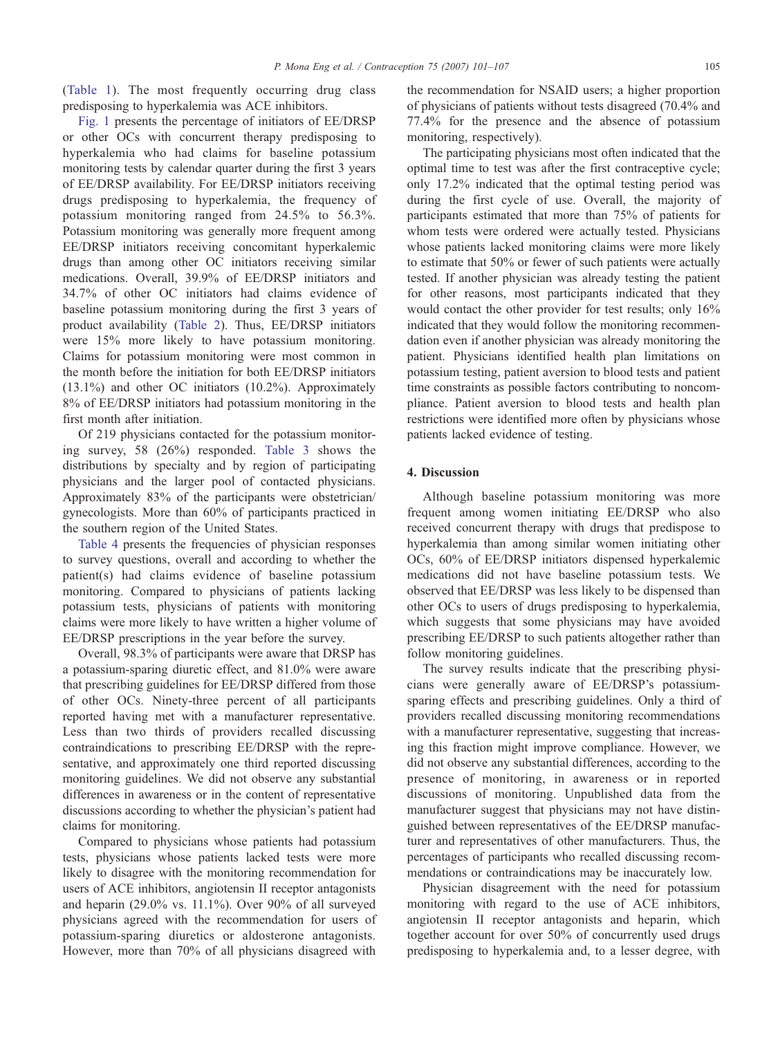[\(Table](#page-1-0) [1\)](#page-1-0). The most frequently occurring drug class pr[edispos](#page-1-0)ing to hyperkalemia was ACE inhibitors.

Fig. 1 presents the percentage of initiators of EE/DRSP or other OCs with concurrent therapy predisposing to hyperkalemia who had claims for baseline potassium monitoring tests by calendar quarter during the first 3 years of EE/DRSP availability. For EE/DRSP initiators receiving drugs predisposing to hyperkalemia, the frequency of potassium monitoring ranged from 24.5% to 56.3%. Potassium monitoring was generally more frequent among EE/DRSP initiators receiving concomitant hyperkalemic drugs than among other OC initiators receiving similar medications. Overall, 39.9% of EE/DRSP initiators and 34.7% of other OC initiators had claims evidence of baseline potassium monitoring during the first 3 years of product availability ([Table](#page-2-0) [2\)](#page-2-0). Thus, EE/DRSP initiators were 15% more likely to have potassium monitoring. Claims for potassium monitoring were most common in the month before the initiation for both EE/DRSP initiators (13.1%) and other OC initiators (10.2%). Approximately 8% of EE/DRSP initiators had potassium monitoring in the first month after initiation.

Of 219 physicians contacted for the potassium monitoring survey, 58 (26%) responded. [Table](#page-2-0) [3](#page-2-0) shows the distributions by specialty and by region of participating physicians and the larger pool of contacted physicians. Approximately 83% of the participants were obstetrician/ gynecologists. More than 60% of participants practiced in the southern region of the United States.

[Table](#page-3-0) [4](#page-3-0) presents the frequencies of physician responses to survey questions, overall and according to whether the patient(s) had claims evidence of baseline potassium monitoring. Compared to physicians of patients lacking potassium tests, physicians of patients with monitoring claims were more likely to have written a higher volume of EE/DRSP prescriptions in the year before the survey.

Overall, 98.3% of participants were aware that DRSP has a potassium-sparing diuretic effect, and 81.0% were aware that prescribing guidelines for EE/DRSP differed from those of other OCs. Ninety-three percent of all participants reported having met with a manufacturer representative. Less than two thirds of providers recalled discussing contraindications to prescribing EE/DRSP with the representative, and approximately one third reported discussing monitoring guidelines. We did not observe any substantial differences in awareness or in the content of representative discussions according to whether the physician's patient had claims for monitoring.

Compared to physicians whose patients had potassium tests, physicians whose patients lacked tests were more likely to disagree with the monitoring recommendation for users of ACE inhibitors, angiotensin II receptor antagonists and heparin (29.0% vs. 11.1%). Over 90% of all surveyed physicians agreed with the recommendation for users of potassium-sparing diuretics or aldosterone antagonists. However, more than 70% of all physicians disagreed with the recommendation for NSAID users; a higher proportion of physicians of patients without tests disagreed (70.4% and 77.4% for the presence and the absence of potassium monitoring, respectively).

The participating physicians most often indicated that the optimal time to test was after the first contraceptive cycle; only 17.2% indicated that the optimal testing period was during the first cycle of use. Overall, the majority of participants estimated that more than 75% of patients for whom tests were ordered were actually tested. Physicians whose patients lacked monitoring claims were more likely to estimate that 50% or fewer of such patients were actually tested. If another physician was already testing the patient for other reasons, most participants indicated that they would contact the other provider for test results; only 16% indicated that they would follow the monitoring recommendation even if another physician was already monitoring the patient. Physicians identified health plan limitations on potassium testing, patient aversion to blood tests and patient time constraints as possible factors contributing to noncompliance. Patient aversion to blood tests and health plan restrictions were identified more often by physicians whose patients lacked evidence of testing.

## 4. Discussion

Although baseline potassium monitoring was more frequent among women initiating EE/DRSP who also received concurrent therapy with drugs that predispose to hyperkalemia than among similar women initiating other OCs, 60% of EE/DRSP initiators dispensed hyperkalemic medications did not have baseline potassium tests. We observed that EE/DRSP was less likely to be dispensed than other OCs to users of drugs predisposing to hyperkalemia, which suggests that some physicians may have avoided prescribing EE/DRSP to such patients altogether rather than follow monitoring guidelines.

The survey results indicate that the prescribing physicians were generally aware of EE/DRSP's potassiumsparing effects and prescribing guidelines. Only a third of providers recalled discussing monitoring recommendations with a manufacturer representative, suggesting that increasing this fraction might improve compliance. However, we did not observe any substantial differences, according to the presence of monitoring, in awareness or in reported discussions of monitoring. Unpublished data from the manufacturer suggest that physicians may not have distinguished between representatives of the EE/DRSP manufacturer and representatives of other manufacturers. Thus, the percentages of participants who recalled discussing recommendations or contraindications may be inaccurately low.

Physician disagreement with the need for potassium monitoring with regard to the use of ACE inhibitors, angiotensin II receptor antagonists and heparin, which together account for over 50% of concurrently used drugs predisposing to hyperkalemia and, to a lesser degree, with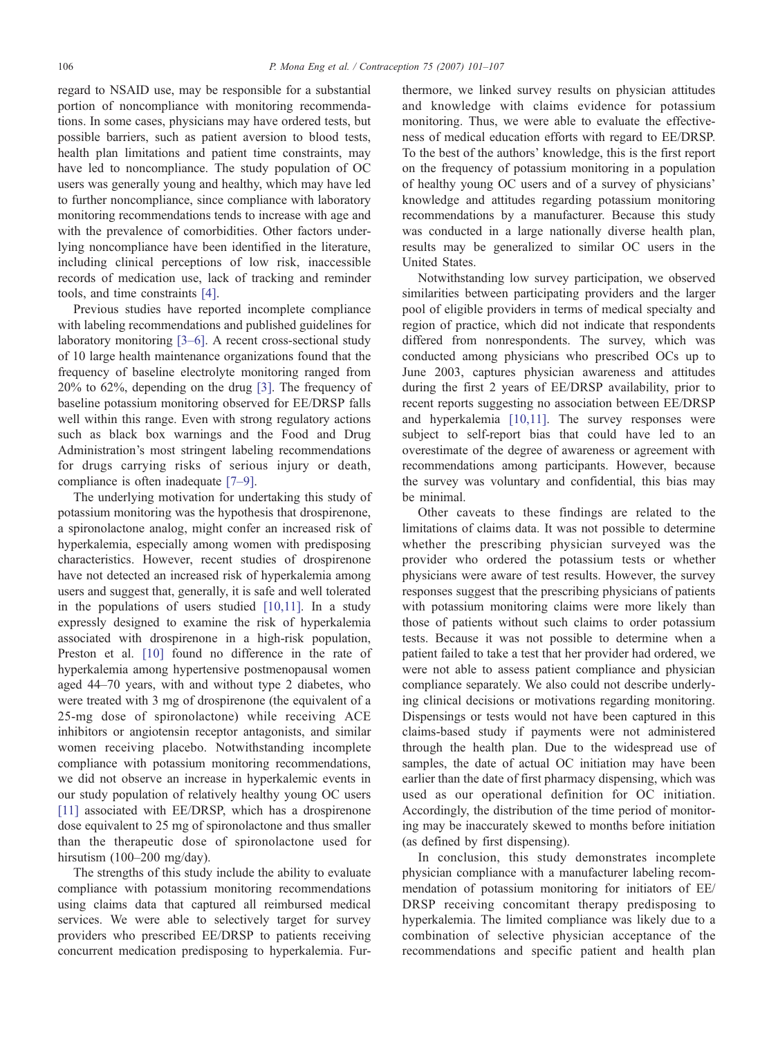regard to NSAID use, may be responsible for a substantial portion of noncompliance with monitoring recommendations. In some cases, physicians may have ordered tests, but possible barriers, such as patient aversion to blood tests, health plan limitations and patient time constraints, may have led to noncompliance. The study population of OC users was generally young and healthy, which may have led to further noncompliance, since compliance with laboratory monitoring recommendations tends to increase with age and with the prevalence of comorbidities. Other factors underlying noncompliance have been identified in the literature, including clinical perceptions of low risk, inaccessible records of medication use, lack of tracking and reminder tools, and time constraints [\[4\].](#page-6-0)

Previous studies have reported incomplete compliance with labeling recommendations and published guidelines for laboratory monitoring [\[3–6\].](#page-6-0) A recent cross-sectional study of 10 large health maintenance organizations found that the frequency of baseline electrolyte monitoring ranged from 20% to 62%, depending on the drug [\[3\].](#page-6-0) The frequency of baseline potassium monitoring observed for EE/DRSP falls well within this range. Even with strong regulatory actions such as black box warnings and the Food and Drug Administration's most stringent labeling recommendations for drugs carrying risks of serious injury or death, compliance is often inadequate [\[7–9\].](#page-6-0)

The underlying motivation for undertaking this study of potassium monitoring was the hypothesis that drospirenone, a spironolactone analog, might confer an increased risk of hyperkalemia, especially among women with predisposing characteristics. However, recent studies of drospirenone have not detected an increased risk of hyperkalemia among users and suggest that, generally, it is safe and well tolerated in the populations of users studied [\[10,11\].](#page-6-0) In a study expressly designed to examine the risk of hyperkalemia associated with drospirenone in a high-risk population, Preston et al. [\[10\]](#page-6-0) found no difference in the rate of hyperkalemia among hypertensive postmenopausal women aged 44–70 years, with and without type 2 diabetes, who were treated with 3 mg of drospirenone (the equivalent of a 25-mg dose of spironolactone) while receiving ACE inhibitors or angiotensin receptor antagonists, and similar women receiving placebo. Notwithstanding incomplete compliance with potassium monitoring recommendations, we did not observe an increase in hyperkalemic events in our study population of relatively healthy young OC users [\[11\]](#page-6-0) associated with EE/DRSP, which has a drospirenone dose equivalent to 25 mg of spironolactone and thus smaller than the therapeutic dose of spironolactone used for hirsutism (100–200 mg/day).

The strengths of this study include the ability to evaluate compliance with potassium monitoring recommendations using claims data that captured all reimbursed medical services. We were able to selectively target for survey providers who prescribed EE/DRSP to patients receiving concurrent medication predisposing to hyperkalemia. Furthermore, we linked survey results on physician attitudes and knowledge with claims evidence for potassium monitoring. Thus, we were able to evaluate the effectiveness of medical education efforts with regard to EE/DRSP. To the best of the authors' knowledge, this is the first report on the frequency of potassium monitoring in a population of healthy young OC users and of a survey of physicians' knowledge and attitudes regarding potassium monitoring recommendations by a manufacturer. Because this study was conducted in a large nationally diverse health plan, results may be generalized to similar OC users in the United States.

Notwithstanding low survey participation, we observed similarities between participating providers and the larger pool of eligible providers in terms of medical specialty and region of practice, which did not indicate that respondents differed from nonrespondents. The survey, which was conducted among physicians who prescribed OCs up to June 2003, captures physician awareness and attitudes during the first 2 years of EE/DRSP availability, prior to recent reports suggesting no association between EE/DRSP and hyperkalemia [\[10,11\].](#page-6-0) The survey responses were subject to self-report bias that could have led to an overestimate of the degree of awareness or agreement with recommendations among participants. However, because the survey was voluntary and confidential, this bias may be minimal.

Other caveats to these findings are related to the limitations of claims data. It was not possible to determine whether the prescribing physician surveyed was the provider who ordered the potassium tests or whether physicians were aware of test results. However, the survey responses suggest that the prescribing physicians of patients with potassium monitoring claims were more likely than those of patients without such claims to order potassium tests. Because it was not possible to determine when a patient failed to take a test that her provider had ordered, we were not able to assess patient compliance and physician compliance separately. We also could not describe underlying clinical decisions or motivations regarding monitoring. Dispensings or tests would not have been captured in this claims-based study if payments were not administered through the health plan. Due to the widespread use of samples, the date of actual OC initiation may have been earlier than the date of first pharmacy dispensing, which was used as our operational definition for OC initiation. Accordingly, the distribution of the time period of monitoring may be inaccurately skewed to months before initiation (as defined by first dispensing).

In conclusion, this study demonstrates incomplete physician compliance with a manufacturer labeling recommendation of potassium monitoring for initiators of EE/ DRSP receiving concomitant therapy predisposing to hyperkalemia. The limited compliance was likely due to a combination of selective physician acceptance of the recommendations and specific patient and health plan